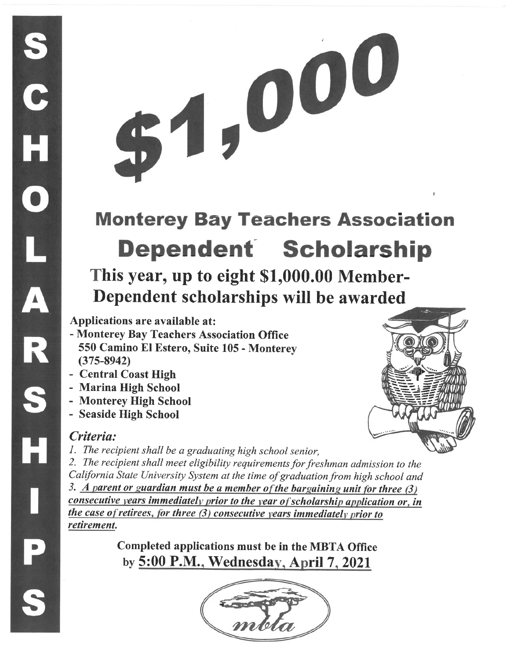# 1,000

# **Monterey Bay Teachers Association Dependent Scholarship**

This year, up to eight \$1,000.00 Member-Dependent scholarships will be awarded

Applications are available at:

- Monterey Bay Teachers Association Office 550 Camino El Estero, Suite 105 - Monterev  $(375 - 8942)$
- Central Coast High
- Marina High School
- Monterey High School
- Seaside High School

# Criteria:

S<br>C<br>H

 $\overline{\mathbf{o}}$ 

A<br>R

S

H

1. The recipient shall be a graduating high school senior,

2. The recipient shall meet eligibility requirements for freshman admission to the California State University System at the time of graduation from high school and 3. A parent or guardian must be a member of the bargaining unit for three  $(3)$ consecutive years immediately prior to the year of scholarship application or, in the case of retirees, for three (3) consecutive years immediately prior to

retirement.

Completed applications must be in the MBTA Office by 5:00 P.M., Wednesday, April 7, 2021



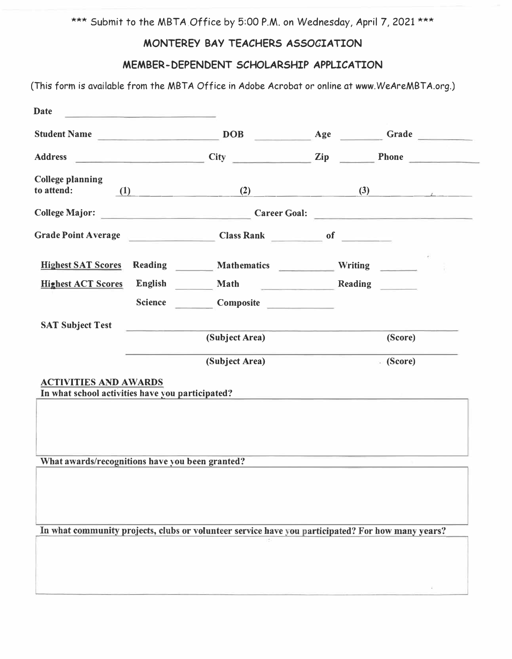\*\*\* Submit to the MBTA Office by 5:00 P.M. on Wednesday, April 7, 2021 \*\*\*

# **MONTEREY BAY TEACHERS ASSOCIATION**

## **MEMBER-DEPENDENT SCHOLARSHIP APPLICATION**

(This form is available from the MBTA Office in Adobe Acrobat or online at www.WeAreMBTA.org.)

| <b>Student Name</b>                                                              | <u> Alexandria de la contrada de la contrada de la contrada de la contrada de la contrada de la contrada de la c</u> | DOB <b>DOB</b>                               | Age              |                                                                                           |
|----------------------------------------------------------------------------------|----------------------------------------------------------------------------------------------------------------------|----------------------------------------------|------------------|-------------------------------------------------------------------------------------------|
| <b>Address</b>                                                                   | <u> 1989 - Andrea Angel, amerikansk politik</u>                                                                      | <b>City</b>                                  | $\sum_{i=1}^{n}$ | Phone<br><b>Contract Contract Contract</b>                                                |
| <b>College planning</b><br>to attend:                                            | (1)                                                                                                                  |                                              | (2)              | $\left(3\right)$ and $\left(3\right)$                                                     |
| <b>College Major:</b>                                                            |                                                                                                                      | <u> 1950 - Johann Barnett, martin e</u>      |                  | Career Goal:                                                                              |
|                                                                                  |                                                                                                                      | Grade Point Average Class Rank Class Rank of |                  |                                                                                           |
| <b>Highest SAT Scores</b>                                                        |                                                                                                                      | Reading Mathematics Writing                  |                  |                                                                                           |
| <b>Highest ACT Scores</b>                                                        | English                                                                                                              | Math                                         | Reading          |                                                                                           |
|                                                                                  | <b>Science</b>                                                                                                       | Composite <b>Composite</b>                   |                  |                                                                                           |
| <b>SAT Subject Test</b>                                                          |                                                                                                                      |                                              |                  |                                                                                           |
|                                                                                  |                                                                                                                      | (Subject Area)                               |                  | (Score)                                                                                   |
|                                                                                  |                                                                                                                      | (Subject Area)                               |                  | • (Score)                                                                                 |
| <b>ACTIVITIES AND AWARDS</b><br>In what school activities have you participated? |                                                                                                                      |                                              |                  | the company of the company of the company of the company of the company of the company of |
| What awards/recognitions have you been granted?                                  |                                                                                                                      |                                              |                  | the control of the control of the control of the control of the control of the control of |
|                                                                                  |                                                                                                                      |                                              |                  |                                                                                           |
|                                                                                  |                                                                                                                      |                                              |                  |                                                                                           |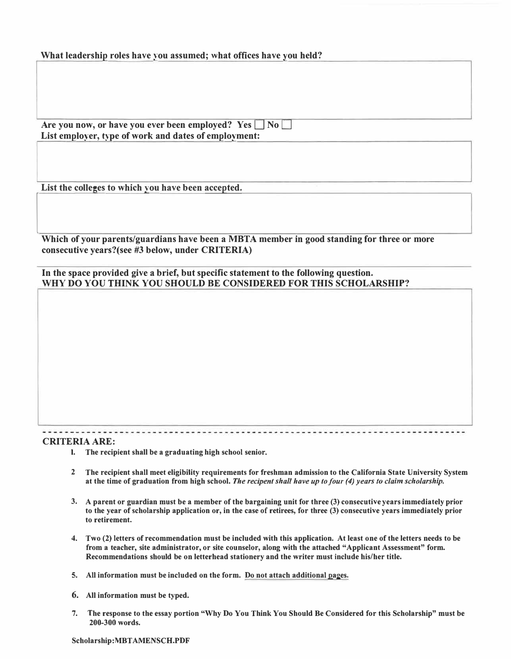| What leadership roles have you assumed; what offices have you held? |  |  |
|---------------------------------------------------------------------|--|--|
|---------------------------------------------------------------------|--|--|

| Are you now, or have you ever been employed? Yes $\Box$ No $\Box$ |  |
|-------------------------------------------------------------------|--|
| List employer, type of work and dates of employment:              |  |

**List the colleges to which you have been accepted.** 

List the colleges to which you have been accepted.<br>
Which of your parents/guardians have been a MBTA member in good standing for three or more **consecutive years?(see #3 below, under CRITERIA)** 

**In the space provided give a brief, but specific statement to the following question. WHY DO YOU THINK YOU SHOULD BE CONSIDERED FOR THIS SCHOLARSHIP?** 

### **CRITERIA ARE:**

- **I. The recipient shall be a graduating high school senior.**
- **2 The recipient shall meet eligibility requirements for freshman admission to the California State University System at the time of graduation from high school.** *The recipent shall have up to four (4) years to claim scholarship.*
- **3. A parent or guardian must be a member of the bargaining unit for three (3) consecutive years immediately prior to the year of scholarship application or, in the case of retirees, for three (3) consecutive years immediately prior to retirement.**
- **4. Two (2) letters of recommendation must be included with this application. At least one of the letters needs to be from a teacher, site administrator, or site counselor, along with the attached "Applicant Assessment" form. Recommendations should be on letterhead stationery and the writer must include his/her title.**
- **5. All information must be included on the form. Do not attach additional pages.**
- **6. All information must be typed.**
- **7. The response to the essay portion "Why Do You Think You Should Be Considered for this Scholarship" must be 200-300 words.**